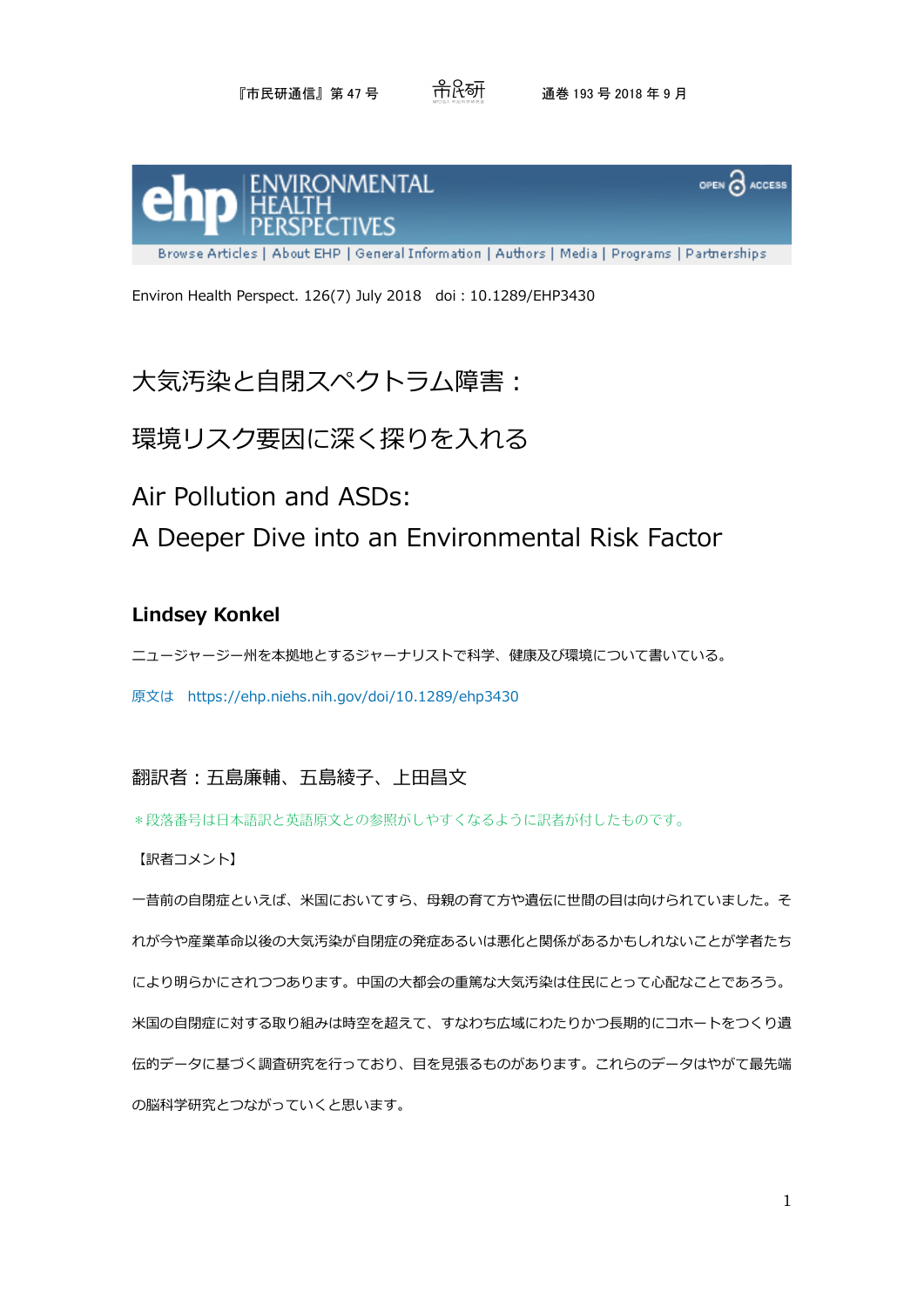## 『市民研通信』第 47 号 通巻 193 号 2018 年 9 月



Environ Health Perspect. 126(7) July 2018 doi:10.1289/EHP3430

# 大気汚染と自閉スペクトラム障害:

## 環境リスク要因に深く探りを入れる

Air Pollution and ASDs:

A Deeper Dive into an Environmental Risk Factor

### **Lindsey Konkel**

ニュージャージー州を本拠地とするジャーナリストで科学、健康及び環境について書いている。

原文は https://ehp.niehs.nih.gov/doi/10.1289/ehp3430

## 翻訳者:五島廉輔、五島綾子、上田昌文

\*段落番号は日本語訳と英語原文との参照がしやすくなるように訳者が付したものです。

#### 【訳者コメント】

一昔前の自閉症といえば、米国においてすら、母親の育て方や遺伝に世間の目は向けられていました。そ れが今や産業革命以後の大気汚染が自閉症の発症あるいは悪化と関係があるかもしれないことが学者たち により明らかにされつつあります。中国の大都会の重篤な大気汚染は住民にとって心配なことであろう。 米国の自閉症に対する取り組みは時空を超えて、すなわち広域にわたりかつ長期的にコホートをつくり遺 伝的データに基づく調査研究を行っており、目を見張るものがあります。これらのデータはやがて最先端 の脳科学研究とつながっていくと思います。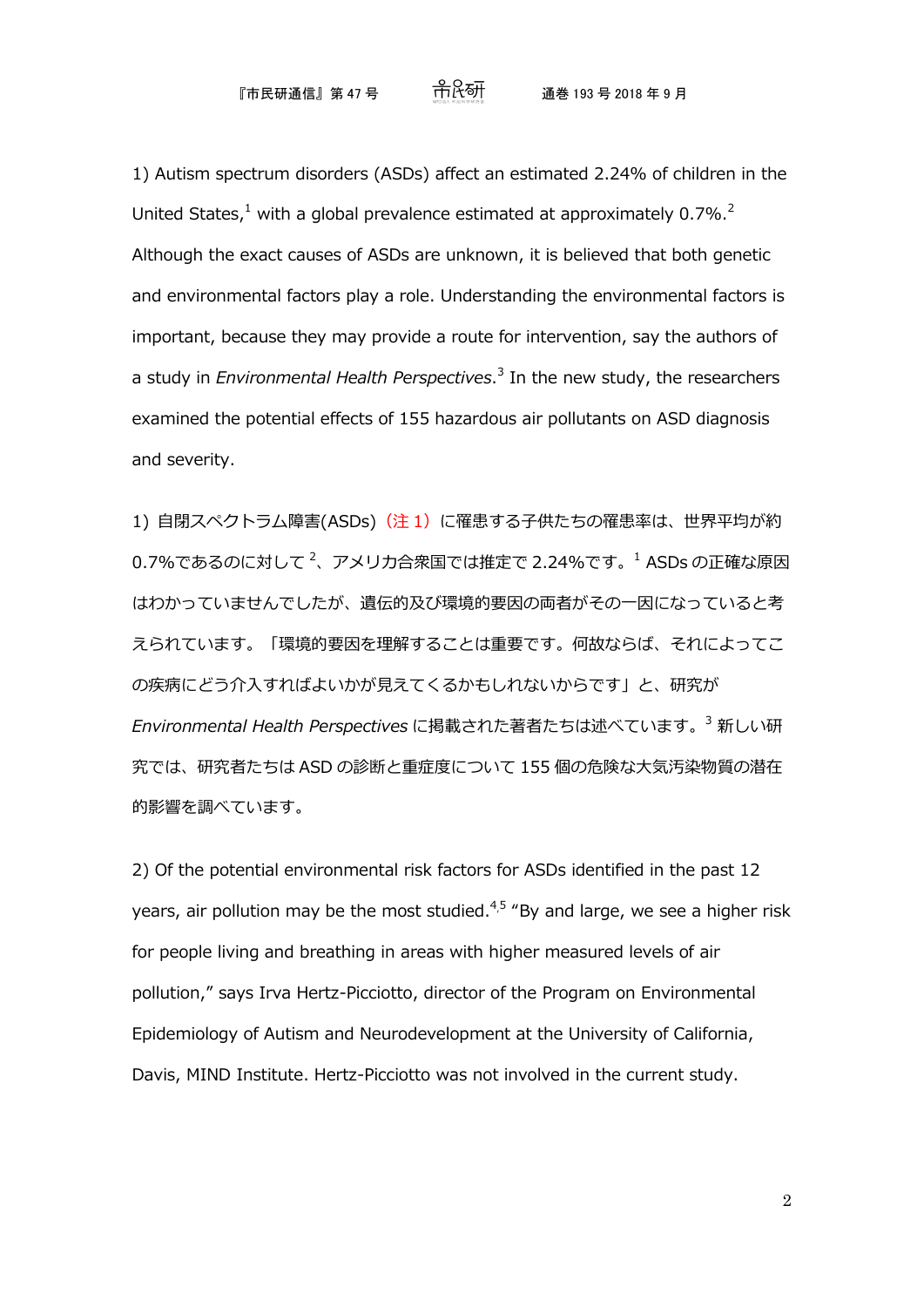1) Autism spectrum disorders (ASDs) affect an estimated 2.24% of children in the United States, $1$  with a global prevalence estimated at approximately 0.7%,  $2$ Although the exact causes of ASDs are unknown, it is believed that both genetic and environmental factors play a role. Understanding the environmental factors is important, because they may provide a route for intervention, say the authors of a study in *Environmental Health Perspectives*. [3](https://ehp.niehs.nih.gov/doi/full/10.1289/EHP3430#c3) In the new study, the researchers examined the potential effects of 155 hazardous air pollutants on ASD diagnosis and severity.

1) 自閉スペクトラム障害(ASDs) (注 1) に罹患する子供たちの罹患率は、世界平均が約  $0.7\%$ であるのに対して  $^2$ 、アメリカ合衆国では推定で 2.24%です。 $^1$  ASDs の正確な原因 はわかっていませんでしたが、遺伝的及び環境的要因の両者がその一因になっていると考 えられています。「環境的要因を理解することは重要です。何故ならば、それによってこ の疾病にどう介入すればよいかが見えてくるかもしれないからです」と、研究が *Environmental Health Perspectives* に掲載された著者たちは述べています。<sup>3</sup> 新しい研 究では、研究者たちは ASD の診断と重症度について 155 個の危険な大気汚染物質の潜在 的影響を調べています。

2) Of the potential environmental risk factors for ASDs identified in the past 12 years, air pollution may be the most studied. $4.5$  $4.5$  "By and large, we see a higher risk for people living and breathing in areas with higher measured levels of air pollution," says Irva Hertz-Picciotto, director of the Program on Environmental Epidemiology of Autism and Neurodevelopment at the University of California, Davis, MIND Institute. Hertz-Picciotto was not involved in the current study.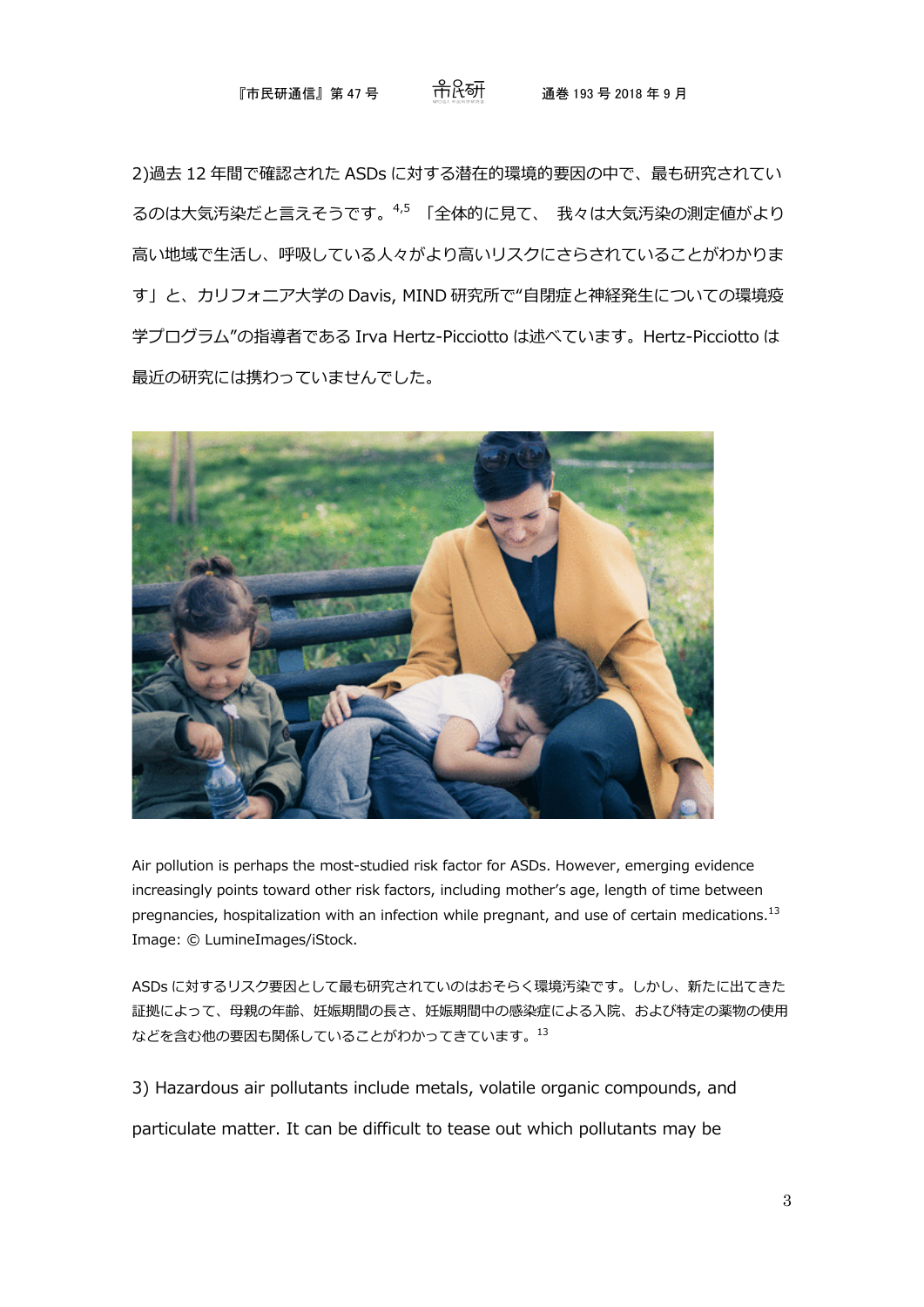### 『市民研通信』第 47 号 通巻 193 号 2018 年 9 月

2)過去 12 年間で確認された ASDs に対する潜在的環境的要因の中で、最も研究されてい るのは大気汚染だと言えそうです。4,5 「全体的に見て、 我々は大気汚染の測定値がより 高い地域で生活し、呼吸している人々がより高いリスクにさらされていることがわかりま す」と、カリフォニア大学の Davis, MIND 研究所で"自閉症と神経発生についての環境疫 学プログラム"の指導者である Irva Hertz-Picciotto は述べています。Hertz-Picciotto は 最近の研究には携わっていませんでした。



Air pollution is perhaps the most-studied risk factor for ASDs. However, emerging evidence increasingly points toward other risk factors, including mother's age, length of time between pregnancies, hospitalization with an infection while pregnant, and use of certain medications.<sup>[13](https://ehp.niehs.nih.gov/doi/full/10.1289/EHP3430#c13)</sup> Image: © LumineImages/iStock.

ASDs に対するリスク要因として最も研究されていのはおそらく環境汚染です。しかし、新たに出てきた 証拠によって、母親の年齢、妊娠期間の長さ、妊娠期間中の感染症による入院、および特定の薬物の使用 などを含む他の要因も関係していることがわかってきています。<sup>13</sup>

3) Hazardous air pollutants include metals, volatile organic compounds, and particulate matter. It can be difficult to tease out which pollutants may be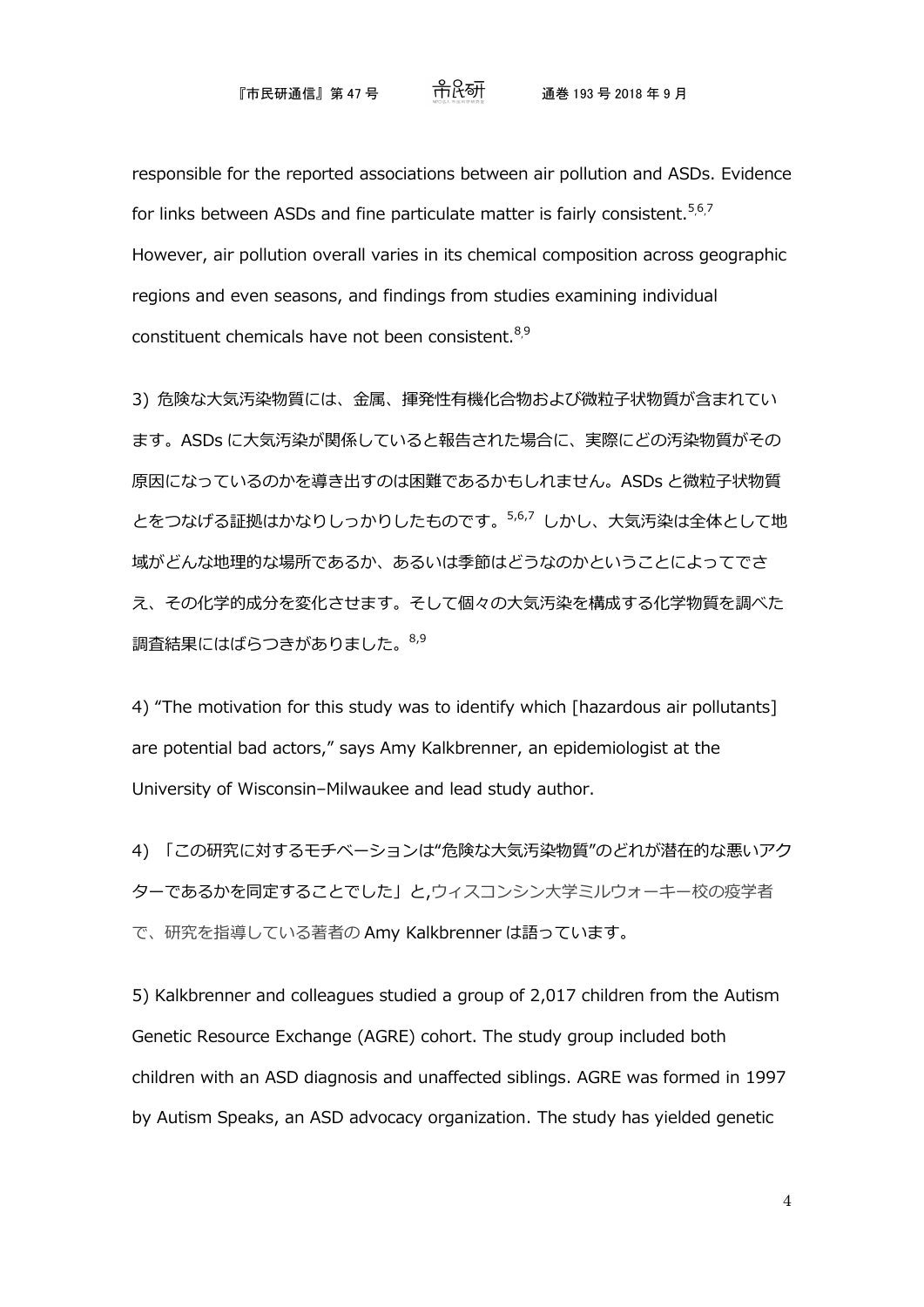responsible for the reported associations between air pollution and ASDs. Evidence for links between ASDs and fine particulate matter is fairly consistent.  $56,7$  $56,7$  $56,7$ However, air pollution overall varies in its chemical composition across geographic regions and even seasons, and findings from studies examining individual constituent chemicals have not been consistent.<sup>8,[9](https://ehp.niehs.nih.gov/doi/full/10.1289/EHP3430#c9)</sup>

3) 危険な大気汚染物質には、金属、揮発性有機化合物および微粒子状物質が含まれてい ます。ASDs に大気汚染が関係していると報告された場合に、実際にどの汚染物質がその 原因になっているのかを導き出すのは困難であるかもしれません。ASDs と微粒子状物質 とをつなげる証拠はかなりしっかりしたものです。5,6,7 しかし、大気汚染は全体として地 域がどんな地理的な場所であるか、あるいは季節はどうなのかということによってでさ え、その化学的成分を変化させます。そして個々の大気汚染を構成する化学物質を調べた 調査結果にはばらつきがありました。 8,9

4) "The motivation for this study was to identify which [hazardous air pollutants] are potential bad actors," says Amy Kalkbrenner, an epidemiologist at the University of Wisconsin–Milwaukee and lead study author.

4) 「この研究に対するモチベーションは"危険な大気汚染物質"のどれが潜在的な悪いアク ターであるかを同定することでした」と,ウィスコンシン大学ミルウォーキー校の疫学者 で、研究を指導している著者の Amy Kalkbrenner は語っています。

5) Kalkbrenner and colleagues studied a group of 2,017 children from the Autism Genetic Resource Exchange (AGRE) cohort. The study group included both children with an ASD diagnosis and unaffected siblings. AGRE was formed in 1997 by Autism Speaks, an ASD advocacy organization. The study has yielded genetic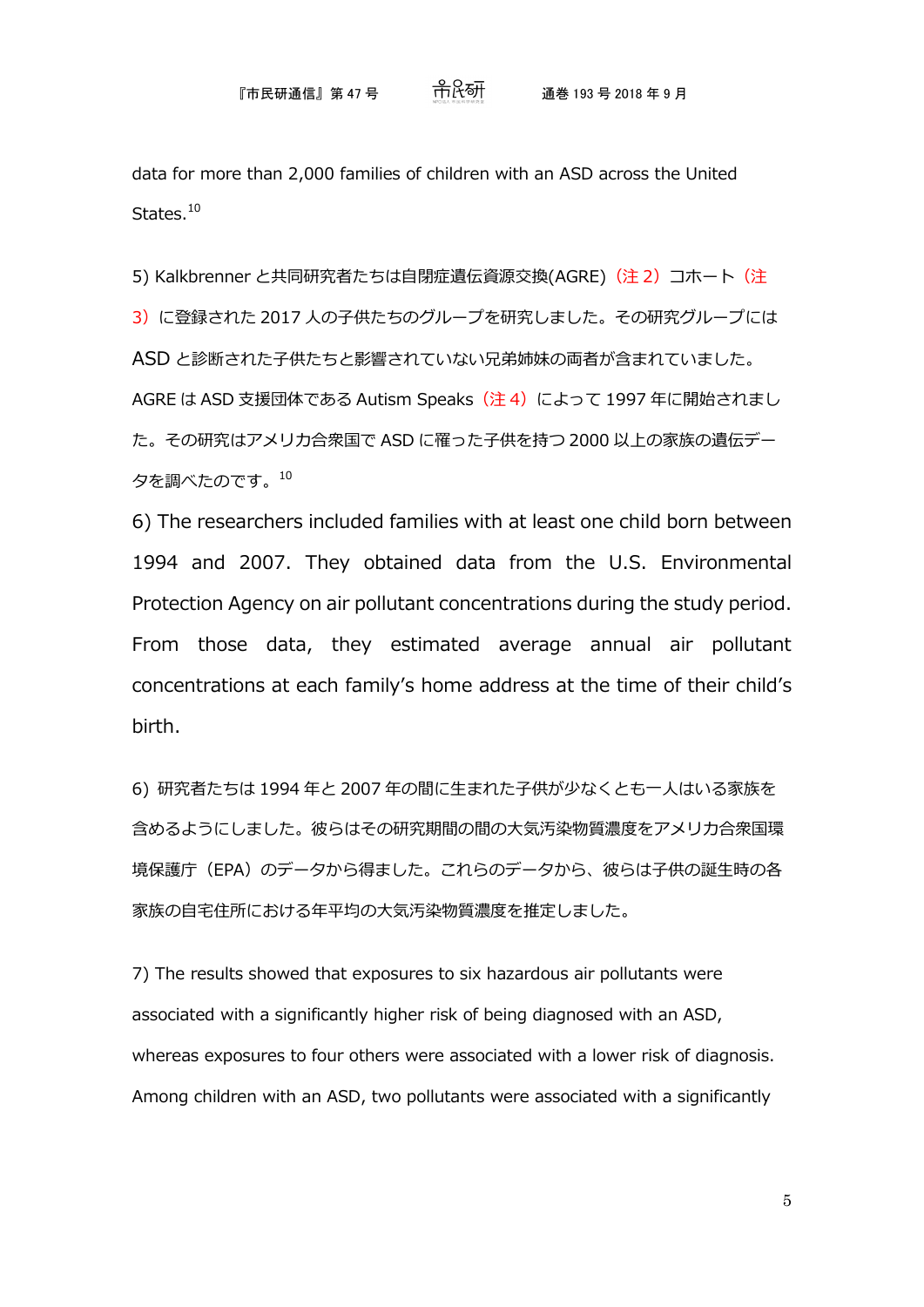data for more than 2,000 families of children with an ASD across the United States.<sup>[10](https://ehp.niehs.nih.gov/doi/full/10.1289/EHP3430#c10)</sup>

5) Kalkbrenner と共同研究者たちは自閉症遺伝資源交換(AGRE) (注 2) コホート (注 3)に登録された 2017 人の子供たちのグループを研究しました。その研究グループには ASD と診断された子供たちと影響されていない兄弟姉妹の両者が含まれていました。 AGRE は ASD 支援団体である Autism Speaks (注4) によって 1997 年に開始されまし た。その研究はアメリカ合衆国で ASD に罹った子供を持つ 2000 以上の家族の遺伝デー タを調べたのです。<sup>10</sup>

6) The researchers included families with at least one child born between 1994 and 2007. They obtained data from the U.S. Environmental Protection Agency on air pollutant concentrations during the study period. From those data, they estimated average annual air pollutant concentrations at each family's home address at the time of their child's birth.

6) 研究者たちは 1994 年と 2007 年の間に生まれた子供が少なくとも一人はいる家族を 含めるようにしました。彼らはその研究期間の間の大気汚染物質濃度をアメリカ合衆国環 境保護庁(EPA)のデータから得ました。これらのデータから、彼らは子供の誕生時の各 家族の自宅住所における年平均の大気汚染物質濃度を推定しました。

7) The results showed that exposures to six hazardous air pollutants were associated with a significantly higher risk of being diagnosed with an ASD, whereas exposures to four others were associated with a lower risk of diagnosis. Among children with an ASD, two pollutants were associated with a significantly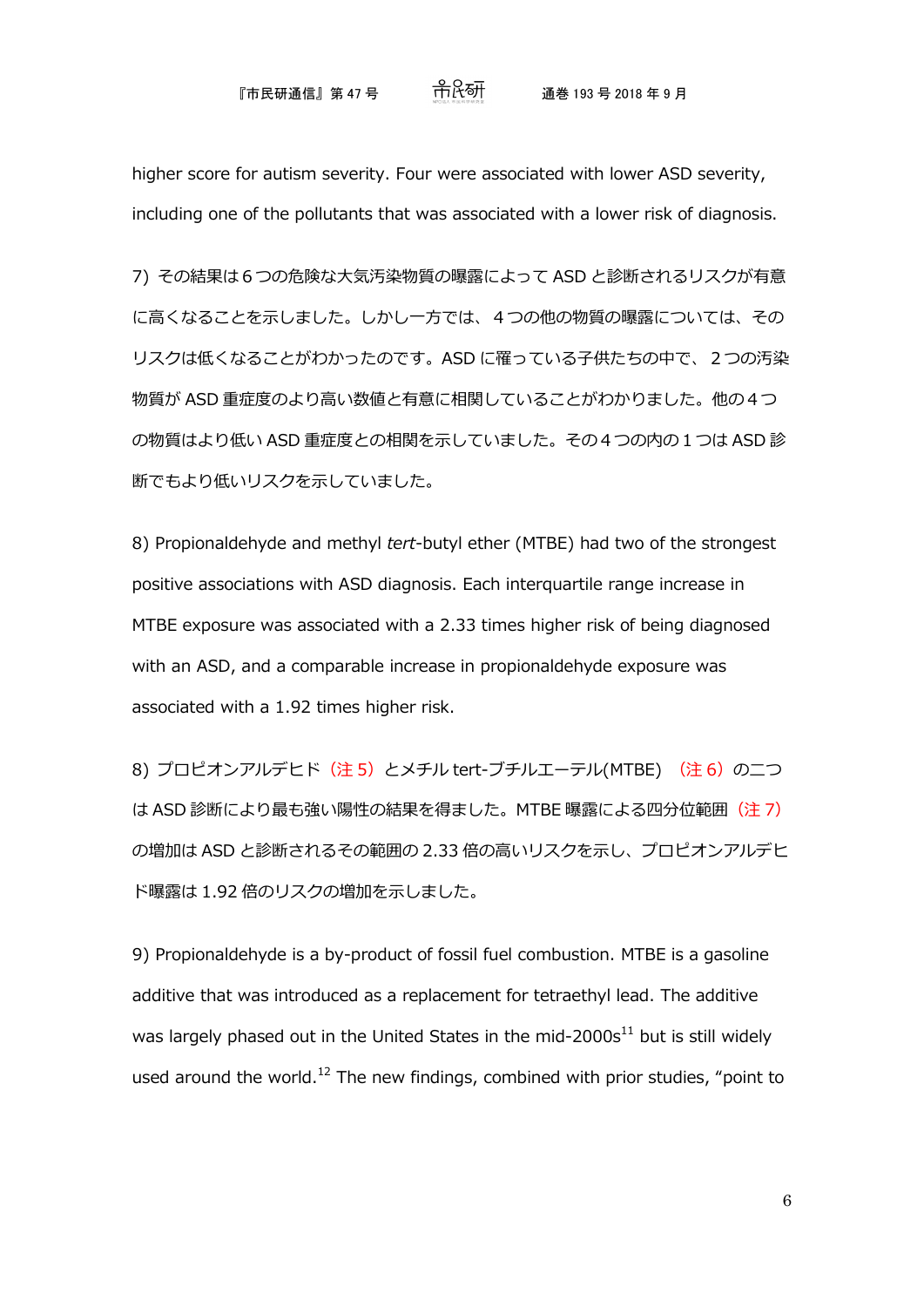#### 『市民研通信』 第 47 号 通巻 193 号 2018 年 9 月

higher score for autism severity. Four were associated with lower ASD severity, including one of the pollutants that was associated with a lower risk of diagnosis.

7) その結果は6つの危険な大気汚染物質の曝露によって ASD と診断されるリスクが有意 に高くなることを示しました。しかし一方では、4つの他の物質の曝露については、その リスクは低くなることがわかったのです。ASD に罹っている子供たちの中で、2つの汚染 物質が ASD 重症度のより高い数値と有意に相関していることがわかりました。他の4つ の物質はより低い ASD 重症度との相関を示していました。その4つの内の1つは ASD 診 断でもより低いリスクを示していました。

8) Propionaldehyde and methyl *tert*-butyl ether (MTBE) had two of the strongest positive associations with ASD diagnosis. Each interquartile range increase in MTBE exposure was associated with a 2.33 times higher risk of being diagnosed with an ASD, and a comparable increase in propionaldehyde exposure was associated with a 1.92 times higher risk.

8) プロピオンアルデヒド (注 5) とメチル tert-ブチルエーテル(MTBE) (注 6) の二つ は ASD 診断により最も強い陽性の結果を得ました。MTBE 曝露による四分位範囲(注7) の増加は ASD と診断されるその範囲の 2.33 倍の高いリスクを示し、プロピオンアルデヒ ド曝露は 1.92 倍のリスクの増加を示しました。

9) Propionaldehyde is a by-product of fossil fuel combustion. MTBE is a gasoline additive that was introduced as a replacement for tetraethyl lead. The additive was largely phased out in the United States in the mid-2000s $^{11}$  but is still widely used around the world.<sup>12</sup> The new findings, combined with prior studies, "point to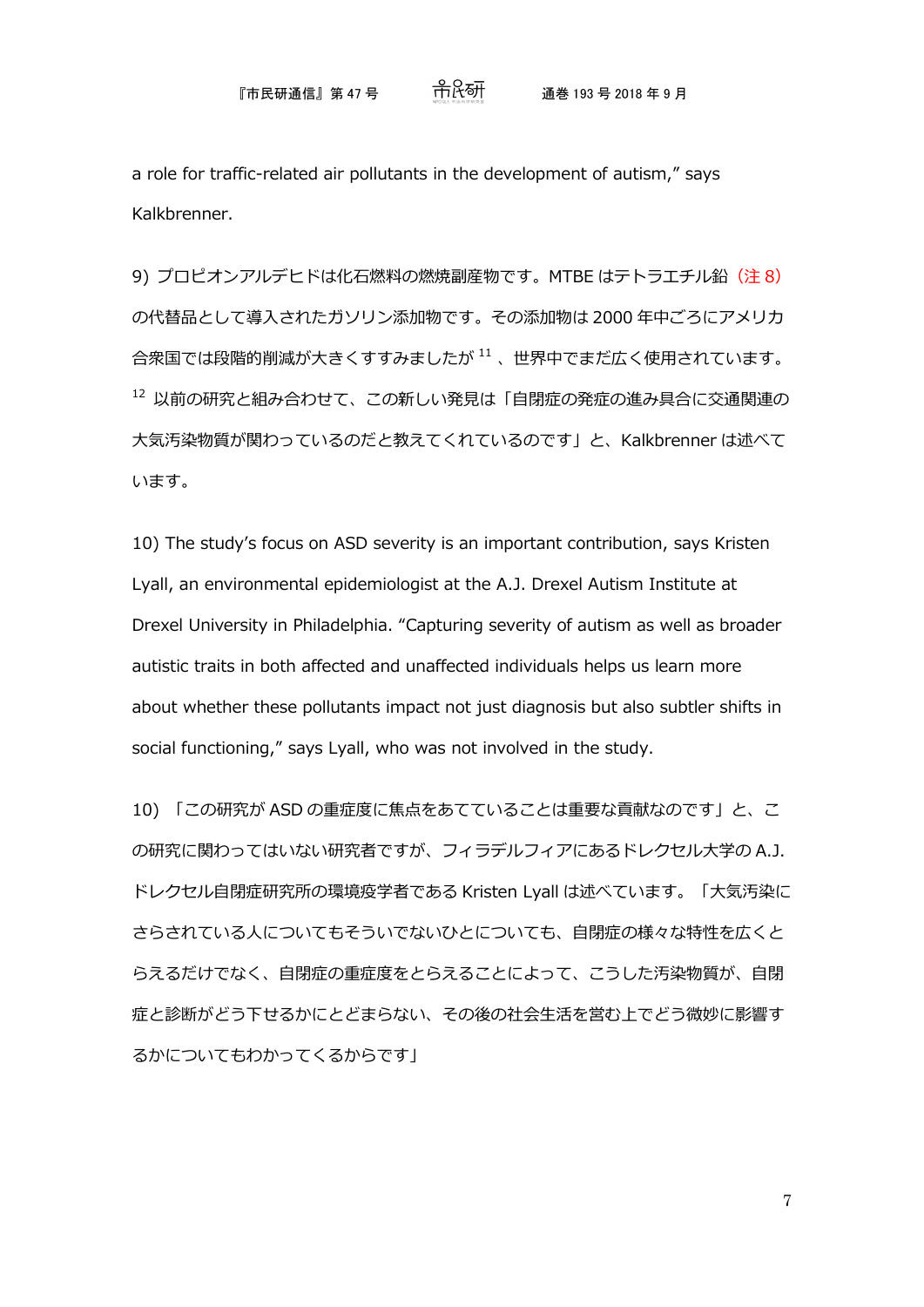a role for traffic-related air pollutants in the development of autism," says Kalkbrenner.

9) プロピオンアルデヒドは化石燃料の燃焼副産物です。MTBE はテトラエチル鉛 (注8) の代替品として導入されたガソリン添加物です。その添加物は 2000 年中ごろにアメリカ 合衆国では段階的削減が大きくすすみましたが <sup>11</sup> 、世界中でまだ広く使用されています。 <sup>12</sup> 以前の研究と組み合わせて、この新しい発見は「自閉症の発症の進み具合に交通関連の 大気汚染物質が関わっているのだと教えてくれているのです」と、Kalkbrenner は述べて います。

10) The study's focus on ASD severity is an important contribution, says Kristen Lyall, an environmental epidemiologist at the A.J. Drexel Autism Institute at Drexel University in Philadelphia. "Capturing severity of autism as well as broader autistic traits in both affected and unaffected individuals helps us learn more about whether these pollutants impact not just diagnosis but also subtler shifts in social functioning," says Lyall, who was not involved in the study.

10) 「この研究が ASD の重症度に焦点をあてていることは重要な貢献なのです」と、こ の研究に関わってはいない研究者ですが、フィラデルフィアにあるドレクセル大学の A.J. ドレクセル自閉症研究所の環境疫学者である Kristen Lyall は述べています。「大気汚染に さらされている人についてもそういでないひとについても、自閉症の様々な特性を広くと らえるだけでなく、自閉症の重症度をとらえることによって、こうした汚染物質が、自閉 症と診断がどう下せるかにとどまらない、その後の社会生活を営む上でどう微妙に影響す るかについてもわかってくるからです」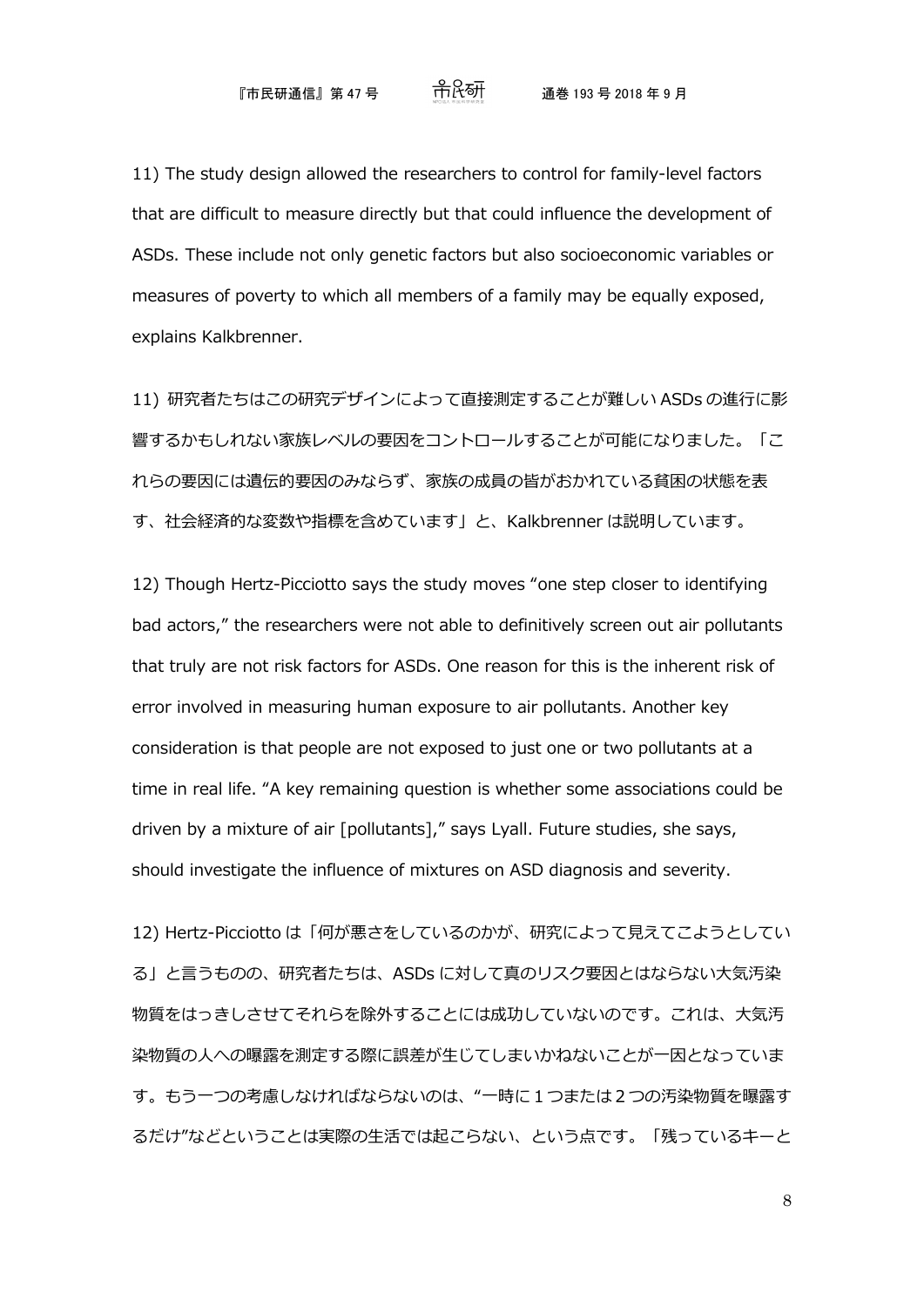11) The study design allowed the researchers to control for family-level factors that are difficult to measure directly but that could influence the development of ASDs. These include not only genetic factors but also socioeconomic variables or measures of poverty to which all members of a family may be equally exposed, explains Kalkbrenner.

11) 研究者たちはこの研究デザインによって直接測定することが難しい ASDs の進行に影 響するかもしれない家族レベルの要因をコントロールすることが可能になりました。「こ れらの要因には遺伝的要因のみならず、家族の成員の皆がおかれている貧困の状態を表 す、社会経済的な変数や指標を含めています」と、Kalkbrenner は説明しています。

12) Though Hertz-Picciotto says the study moves "one step closer to identifying bad actors," the researchers were not able to definitively screen out air pollutants that truly are not risk factors for ASDs. One reason for this is the inherent risk of error involved in measuring human exposure to air pollutants. Another key consideration is that people are not exposed to just one or two pollutants at a time in real life. "A key remaining question is whether some associations could be driven by a mixture of air [pollutants]," says Lyall. Future studies, she says, should investigate the influence of mixtures on ASD diagnosis and severity.

12) Hertz-Picciotto は「何が悪さをしているのかが、研究によって見えてこようとしてい る」と言うものの、研究者たちは、ASDs に対して真のリスク要因とはならない大気汚染 物質をはっきしさせてそれらを除外することには成功していないのです。これは、大気汚 染物質の人への曝露を測定する際に誤差が生じてしまいかねないことが一因となっていま す。もう一つの考慮しなければならないのは、"一時に1つまたは2つの汚染物質を曝露す るだけ"などということは実際の生活では起こらない、という点です。「残っているキーと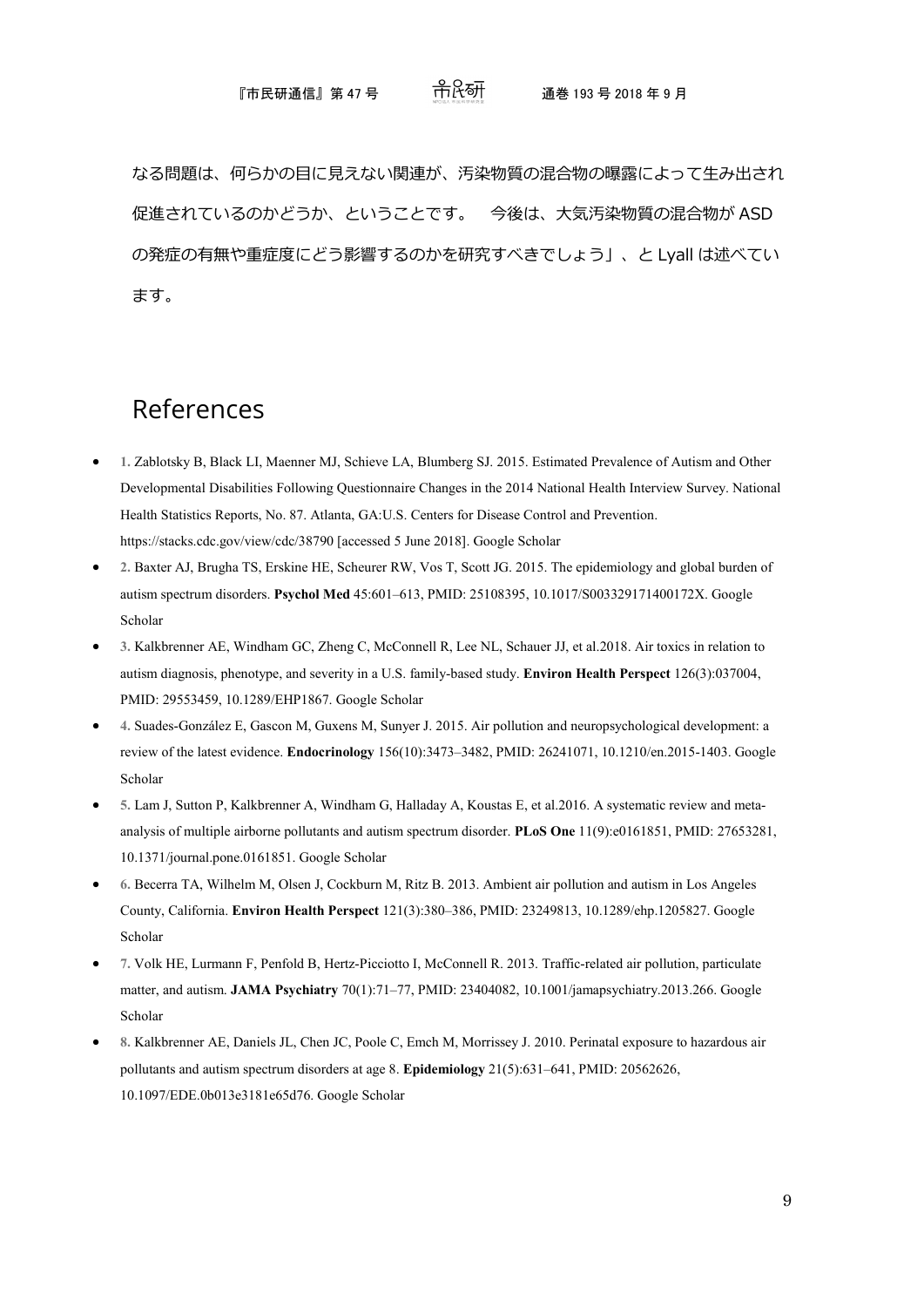#### 『市民研通信』第 47 号 通巻 193 号 2018 年 9 月

なる問題は、何らかの目に見えない関連が、汚染物質の混合物の曝露によって生み出され 促進されているのかどうか、ということです。 今後は、大気汚染物質の混合物が ASD の発症の有無や重症度にどう影響するのかを研究すべきでしょう」、と Lyall は述べてい ます。

## References

- **1.** Zablotsky B, Black LI, Maenner MJ, Schieve LA, Blumberg SJ. 2015. Estimated Prevalence of Autism and Other Developmental Disabilities Following Questionnaire Changes in the 2014 National Health Interview Survey. National Health Statistics Reports, No. 87. Atlanta, GA:U.S. Centers for Disease Control and Prevention. https://stacks.cdc.gov/view/cdc/38790 [accessed 5 June 2018]. [Google Scholar](http://scholar.google.com/scholar_lookup?hl=en&publication_year=2015&title=Estimated+Prevalence+of+Autism+and+Other+Developmental+Disabilities+Following+Questionnaire+Changes+in+the+2014+National+Health+Interview+Survey)
- **2.** Baxter AJ, Brugha TS, Erskine HE, Scheurer RW, Vos T, Scott JG. 2015. The epidemiology and global burden of autism spectrum disorders. **Psychol Med** 45:601–613, PMID: 25108395, 10.1017/S003329171400172X[. Google](http://scholar.google.com/scholar_lookup?hl=en&publication_year=2015&pages=601-613&title=The+epidemiology+and+global+burden+of+autism+spectrum+disorders&)  [Scholar](http://scholar.google.com/scholar_lookup?hl=en&publication_year=2015&pages=601-613&title=The+epidemiology+and+global+burden+of+autism+spectrum+disorders&)
- **3.** Kalkbrenner AE, Windham GC, Zheng C, McConnell R, Lee NL, Schauer JJ, et al.2018. Air toxics in relation to autism diagnosis, phenotype, and severity in a U.S. family-based study. **Environ Health Perspect** 126(3):037004, PMID: 29553459, 10.1289/EHP1867[. Google Scholar](http://scholar.google.com/scholar_lookup?hl=en&publication_year=2018&pages=037004&issue=3&title=Air+toxics+in+relation+to+autism+diagnosis%2C+phenotype%2C+and+severity+in+a+U.S.+family-based+study&)
- **4.** Suades-González E, Gascon M, Guxens M, Sunyer J. 2015. Air pollution and neuropsychological development: a review of the latest evidence. **Endocrinology** 156(10):3473–3482, PMID: 26241071, 10.1210/en.2015-1403[. Google](http://scholar.google.com/scholar_lookup?hl=en&publication_year=2015&pages=3473-3482&issue=10&title=Air+pollution+and+neuropsychological+development%3A+a+review+of+the+latest+evidence&)  [Scholar](http://scholar.google.com/scholar_lookup?hl=en&publication_year=2015&pages=3473-3482&issue=10&title=Air+pollution+and+neuropsychological+development%3A+a+review+of+the+latest+evidence&)
- **5.** Lam J, Sutton P, Kalkbrenner A, Windham G, Halladay A, Koustas E, et al.2016. A systematic review and metaanalysis of multiple airborne pollutants and autism spectrum disorder. **PLoS One** 11(9):e0161851, PMID: 27653281, 10.1371/journal.pone.0161851. [Google Scholar](http://scholar.google.com/scholar_lookup?hl=en&publication_year=2016&pages=e0161851&issue=9&title=A+systematic+review+and+meta-analysis+of+multiple+airborne+pollutants+and+autism+spectrum+disorder&)
- **6.** Becerra TA, Wilhelm M, Olsen J, Cockburn M, Ritz B. 2013. Ambient air pollution and autism in Los Angeles County, California. **Environ Health Perspect** 121(3):380–386, PMID: 23249813, 10.1289/ehp.1205827. [Google](http://scholar.google.com/scholar_lookup?hl=en&publication_year=2013&pages=380-386&issue=3&title=Ambient+air+pollution+and+autism+in+Los+Angeles+County%2C+California&)  [Scholar](http://scholar.google.com/scholar_lookup?hl=en&publication_year=2013&pages=380-386&issue=3&title=Ambient+air+pollution+and+autism+in+Los+Angeles+County%2C+California&)
- **7.** Volk HE, Lurmann F, Penfold B, Hertz-Picciotto I, McConnell R. 2013. Traffic-related air pollution, particulate matter, and autism. **JAMA Psychiatry** 70(1):71–77, PMID: 23404082, 10.1001/jamapsychiatry.2013.266[. Google](http://scholar.google.com/scholar_lookup?hl=en&publication_year=2013&pages=71-77&issue=1&title=Traffic-related+air+pollution%2C+particulate+matter%2C+and+autism&)  [Scholar](http://scholar.google.com/scholar_lookup?hl=en&publication_year=2013&pages=71-77&issue=1&title=Traffic-related+air+pollution%2C+particulate+matter%2C+and+autism&)
- **8.** Kalkbrenner AE, Daniels JL, Chen JC, Poole C, Emch M, Morrissey J. 2010. Perinatal exposure to hazardous air pollutants and autism spectrum disorders at age 8. **Epidemiology** 21(5):631–641, PMID: 20562626, 10.1097/EDE.0b013e3181e65d76[. Google Scholar](http://scholar.google.com/scholar_lookup?hl=en&publication_year=2010&pages=631-641&issue=5&title=Perinatal+exposure+to+hazardous+air+pollutants+and+autism+spectrum+disorders+at+age+8&)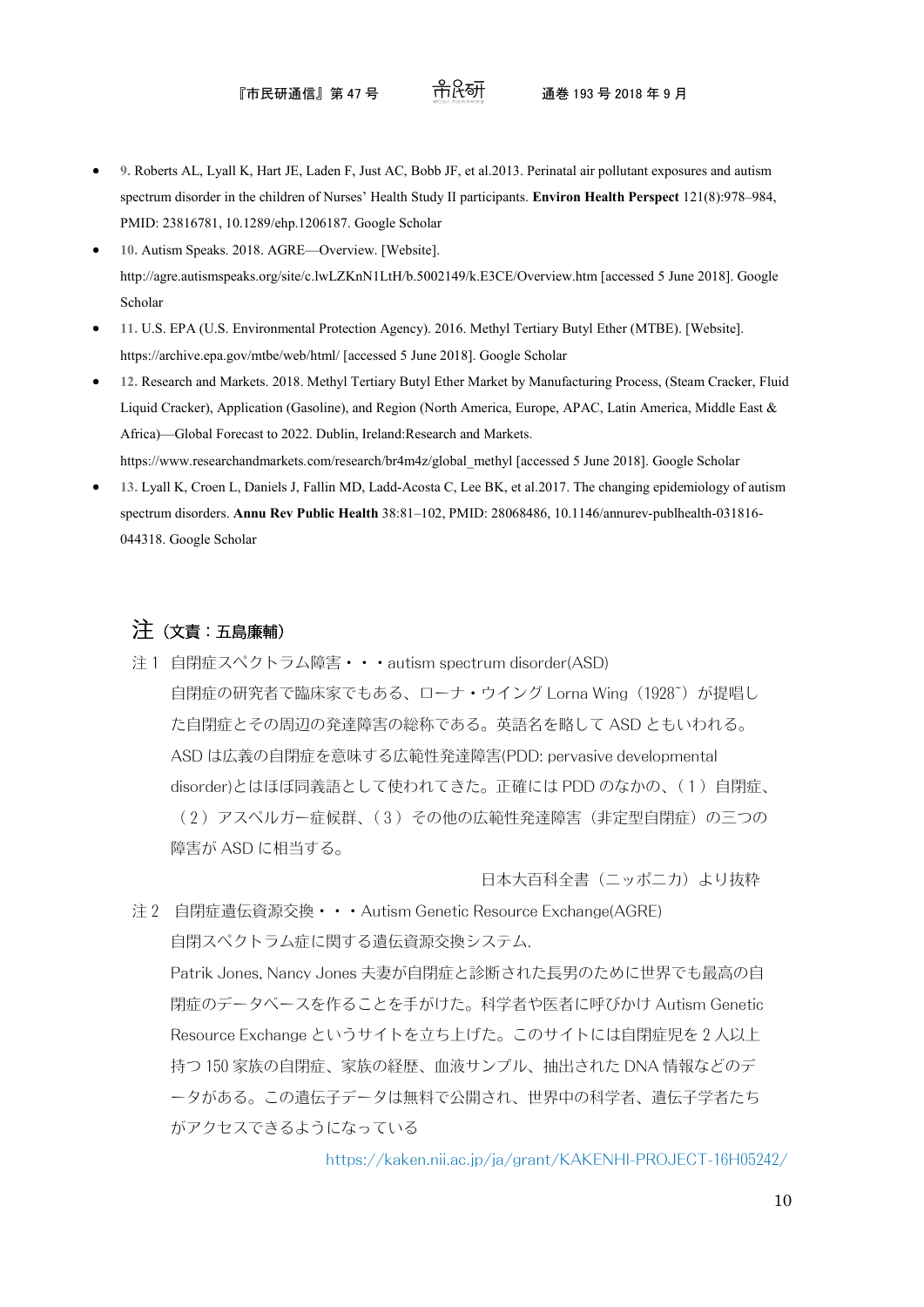- **9.** Roberts AL, Lyall K, Hart JE, Laden F, Just AC, Bobb JF, et al.2013. Perinatal air pollutant exposures and autism spectrum disorder in the children of Nurses' Health Study II participants. **Environ Health Perspect** 121(8):978–984, PMID: 23816781, 10.1289/ehp.1206187[. Google Scholar](http://scholar.google.com/scholar_lookup?hl=en&publication_year=2013&pages=978-984&issue=8&title=Perinatal+air+pollutant+exposures+and+autism+spectrum+disorder+in+the+children+of+Nurses%E2%80%99+Health+Study+II+participants&)
- **10.** Autism Speaks. 2018. AGRE—Overview. [Website]. http://agre.autismspeaks.org/site/c.lwLZKnN1LtH/b.5002149/k.E3CE/Overview.htm [accessed 5 June 2018]. [Google](http://scholar.google.com/scholar?hl=en&q=%00empty%00)  [Scholar](http://scholar.google.com/scholar?hl=en&q=%00empty%00)
- **11.** U.S. EPA (U.S. Environmental Protection Agency). 2016. Methyl Tertiary Butyl Ether (MTBE). [Website]. https://archive.epa.gov/mtbe/web/html/ [accessed 5 June 2018]. [Google Scholar](http://scholar.google.com/scholar?hl=en&q=%00empty%00)
- **12.** Research and Markets. 2018. Methyl Tertiary Butyl Ether Market by Manufacturing Process, (Steam Cracker, Fluid Liquid Cracker), Application (Gasoline), and Region (North America, Europe, APAC, Latin America, Middle East & Africa)—Global Forecast to 2022. Dublin, Ireland:Research and Markets.

https://www.researchandmarkets.com/research/br4m4z/global\_methyl [accessed 5 June 2018][. Google Scholar](http://scholar.google.com/scholar_lookup?hl=en&publication_year=2018&title=Methyl+Tertiary+Butyl+Ether+Market+by+Manufacturing+Process%2C+%28Steam+Cracker%2C+Fluid+Liquid+Cracker%29%2C+Application+%28Gasoline%29%2C+and+Region+%28North+America%2C+Europe%2C+APAC%2C+Latin+America%2C+Middle+East+%26+Africa%29%E2%80%94Global+Forecast+to+2022)

• **13.** Lyall K, Croen L, Daniels J, Fallin MD, Ladd-Acosta C, Lee BK, et al.2017. The changing epidemiology of autism spectrum disorders. **Annu Rev Public Health** 38:81–102, PMID: 28068486, 10.1146/annurev-publhealth-031816- 044318. [Google Scholar](http://scholar.google.com/scholar_lookup?hl=en&publication_year=2017&pages=81-102&title=The+changing+epidemiology+of+autism+spectrum+disorders&)

## 注(文責:五島廉輔)

注1 自閉症スペクトラム障害・・・autism spectrum disorder(ASD) 自閉症の研究者で臨床家でもある、ローナ・ウイング Lorna Wing (1928~) が提唱し た自閉症とその周辺の発達障害の総称である。英語名を略して ASD ともいわれる。 ASD は広義の自閉症を意味する広範性発達障害(PDD: pervasive developmental disorder)とはほぼ同義語として使われてきた。正確には PDD のなかの、(1)自閉症、 (2)アスペルガー症候群、(3)その他の広範性発達障害(非定型自閉症)の三つの 障害が ASD に相当する。

日本大百科全書(ニッポニカ)より抜粋

注 2 自閉症遺伝資源交換・・・Autism Genetic Resource Exchange(AGRE) 自閉スペクトラム症に関する遺伝資源交換システム. Patrik Jones, Nancy Jones 夫妻が自閉症と診断された長男のために世界でも最高の自 閉症のデータベースを作ることを手がけた。科学者や医者に呼びかけ Autism Genetic Resource Exchange というサイトを立ち上げた。このサイトには自閉症児を2人以上 持つ 150 家族の自閉症、家族の経歴、血液サンプル、抽出された DNA 情報などのデ ータがある。この遺伝子データは無料で公開され、世界中の科学者、遺伝子学者たち がアクセスできるようになっている

<https://kaken.nii.ac.jp/ja/grant/KAKENHI-PROJECT-16H05242/>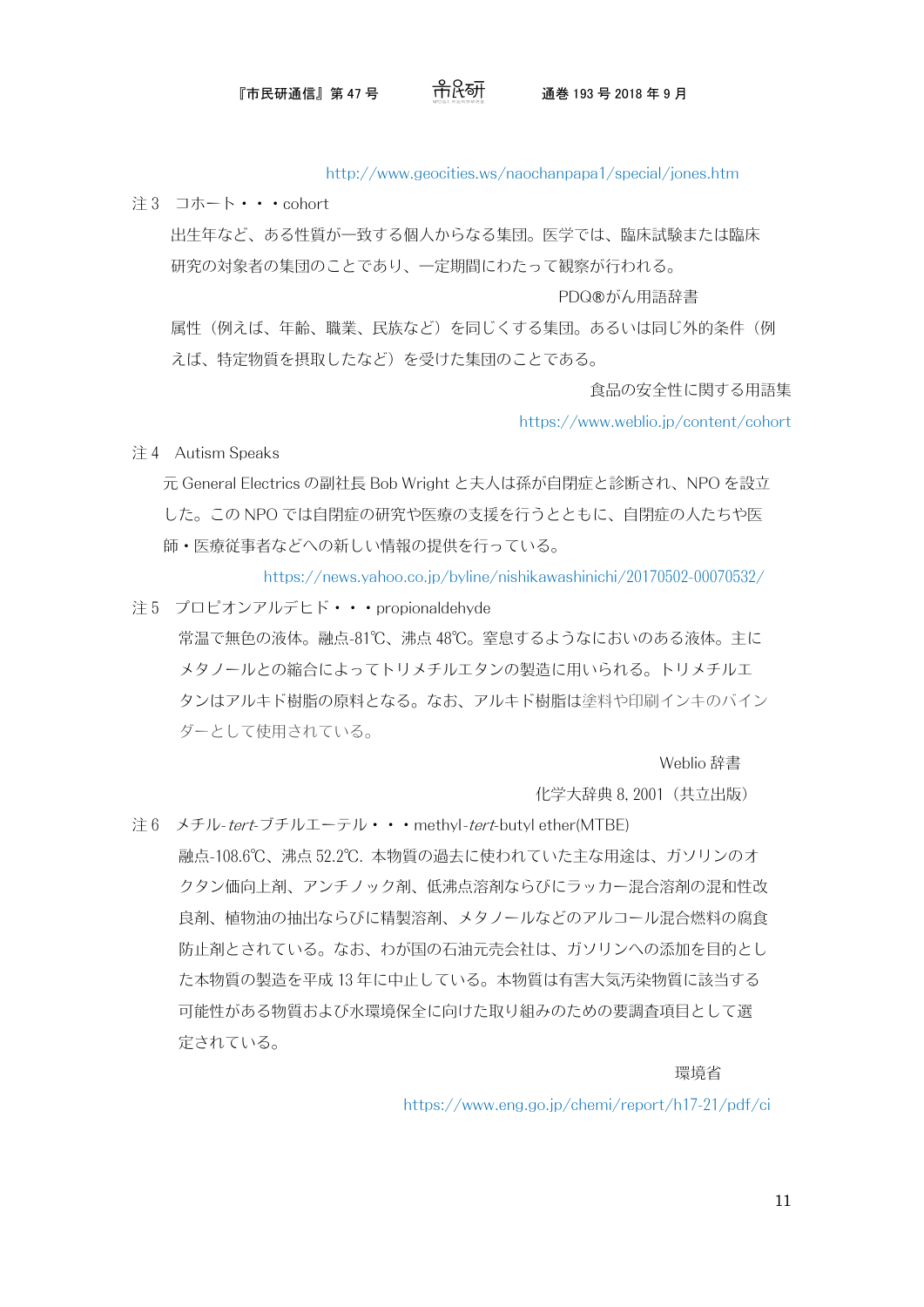#### 『市民研通信』第 47 号 通巻 193 号 2018 年 9 月

<http://www.geocities.ws/naochanpapa1/special/jones.htm>

注 3 コホート・・・cohort

 出生年など、ある性質が一致する個人からなる集団。医学では、臨床試験または臨床 研究の対象者の集団のことであり、一定期間にわたって観察が行われる。

PDQ®がん用語辞書

属性(例えば、年齢、職業、民族など)を同じくする集団。あるいは同じ外的条件(例 えば、特定物質を摂取したなど)を受けた集団のことである。

食品の安全性に関する用語集

<https://www.weblio.jp/content/cohort>

注 4 Autism Speaks

 元 General Electrics の副社長 Bob Wright と夫人は孫が自閉症と診断され、NPO を設立 した。この NPO では自閉症の研究や医療の支援を行うとともに、自閉症の人たちや医 師・医療従事者などへの新しい情報の提供を行っている。

<https://news.yahoo.co.jp/byline/nishikawashinichi/20170502-00070532/>

注 5 プロピオンアルデヒド・・・propionaldehyde 常温で無色の液体。融点-81℃、沸点 48℃。窒息するようなにおいのある液体。主に メタノールとの縮合によってトリメチルエタンの製造に用いられる。トリメチルエ タンはアルキド樹脂の原料となる。なお、アルキド樹脂は塗料や印刷インキのバイン ダーとして使用されている。

Weblio 辞書

化学大辞典 8, 2001(共立出版)

注 6 メチル-tert-ブチルエーテル・・・methyl-tert-butyl ether(MTBE) 融点-108.6℃、沸点 52.2℃. 本物質の過去に使われていた主な用途は、ガソリンのオ クタン価向上剤、アンチノック剤、低沸点溶剤ならびにラッカー混合溶剤の混和性改 良剤、植物油の抽出ならびに精製溶剤、メタノールなどのアルコール混合燃料の腐食 防止剤とされている。なお、わが国の石油元売会社は、ガソリンへの添加を目的とし た本物質の製造を平成 13 年に中止している。本物質は有害大気汚染物質に該当する 可能性がある物質および水環境保全に向けた取り組みのための要調査項目として選 定されている。

には、このことを、このことを、このことを、このことを、このことを、このことを、このことを、このことを、このことを、このことを、このことを、このことを、このことを、

<https://www.eng.go.jp/chemi/report/h17-21/pdf/ci>